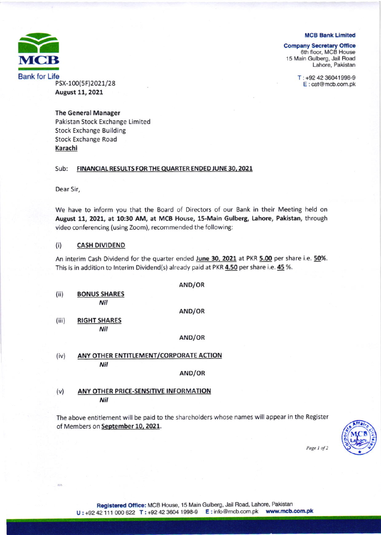**MCB Bank Limited** 

Lahore. Pakistan

 $T: +924236041998-9$ E: cat@mcb.com.pk

**Company Secretary Office** 6th floor, MCB House 15 Main Gulberg. Jall Road



PSx-100(sF)2021/28 August 11, 2021

**The General Manager** Pakistan Stock Exchange Limited Stock Exchange Building Stock Exchange Road Karachi

### Sub: FINANCIAL RESULTS FOR THE QUARTER ENDED JUNE 30, 2021

Dear Sir,

 $128$ 

We have to inform you that the Board of Directors of our Bank in their Meeting held on August 11, 2021, at 10:30 AM, at MCB House, 15-Main Gulberg, Lahore, Pakistan, through video conferencing (using Zoom), recommended the following:

## (i) **CASH DIVIDEND**

An interim Cash Dividend for the quarter ended June 30, 2021 at PKR 5.00 per share i.e. 50%. This is in addition to Interim Dividend(s) already paid at PKR 4.50 per share i.e. 45 %.

AND/OR (ii) BoNus SHARESNil AND/OR (iii) RIGHT SHARES Nil AND/OR

(iv) ANY OTHER ENTITLEMENT/CORPoRATE ACTION Nil

AND/OR

# (v) ANY OTHER PRICE.SENSITIVE INFORMATION Nil

The above entitlement will be paid to the shareholders whose names will appear in the Register of Members on September 10, 2021.



Page 1 of 2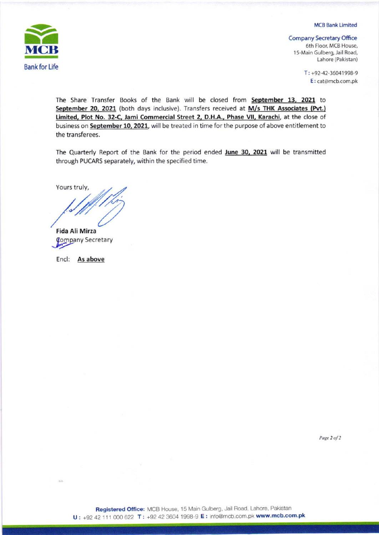

**MCB Bank Limited** 

**Company Secretary Office** 

6th Floor, MCB House, 15-Main Gulberg, Jail Road, Lahore (Pakistan)

> $T: +92-42-36041998-9$ E: cat@mcb.com.pk

The Share Transfer Books of the Bank will be closed from September 13, 2021 to September 20, 2021 (both days inclusive). Transfers received at M/s THK Associates (Pvt.) Limited, Plot No. 32-C, Jami Commercial Street 2, D.H.A., Phase VII, Karachi, at the close of business on September 10, 2021, will be treated in time for the purpose of above entitlement to the transferees.

The Quarterly Report of the Bank for the period ended June 30, 2021 will be transmitted through PUCARS separately, within the specified time.

Yours truly,

**Fida Ali Mirza Company Secretary** 

Encl: As above

 $-HA$ 

Page 2 of 2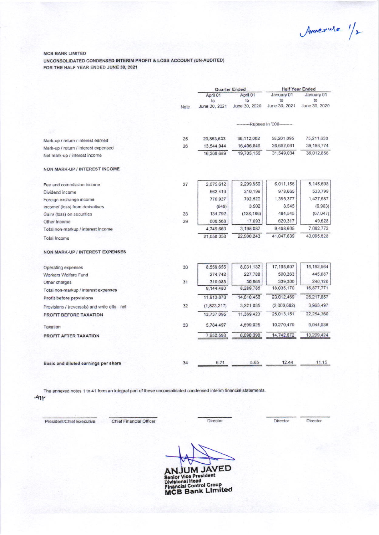Annemure 1/2

#### **MCB BANK LIMITED**

UNCONSOLIDATED CONDENSED INTERIM PROFIT & LOSS ACCOUNT (UN-AUDITED) FOR THE HALF YEAR ENDED JUNE 30, 2021

|                                               |      | Quarter Ended |               | <b>Half Year Ended</b>              |               |
|-----------------------------------------------|------|---------------|---------------|-------------------------------------|---------------|
|                                               |      | April 01      | April 01      | January 01                          | January 01    |
|                                               |      | to            | to            | to                                  | to            |
|                                               | Note | June 30, 2021 | June 30, 2020 | June 30, 2021                       | June 30, 2020 |
|                                               |      |               |               | -----------Rupees in '000---------- |               |
|                                               |      |               |               |                                     |               |
| Mark-up / return / interest earned            | 25   | 29,853,633    | 36,112,002    | 58,201,095                          | 75,211,630    |
| Mark-up / return / interest expensed          | 26   | 13,544,944    | 16,406,846    | 26,652,061                          | 39, 198, 774  |
| Net mark-up / interest income                 |      | 16,308,689    | 19,705.156    | 31,549,034                          | 36,012,856    |
| NON MARK-UP / INTEREST INCOME                 |      |               |               |                                     |               |
| Fee and commission income                     | 27   | 2,675,612     | 2,299,959     | 6,011,156                           | 5,145,608     |
| Dividend income                               |      | 562,419       | 310,199       | 978,665                             | 533,799       |
| Foreign exchange income                       |      | 770,927       | 702,520       | 1,395,377                           | 1,427,687     |
| Income/ (loss) from derivatives               |      | (649)         | 3,502         | 8,545                               | (6,903)       |
| Gain/ (loss) on securities                    | 28   | 134,792       | (138, 186)    | 484,545                             | (67, 047)     |
| Other Income                                  | 29   | 606,568       | 17,093        | 620,317                             | 49,628        |
| Total non-markup / interest Income            |      | 4,749,669     | 3,195,087     | 9,498,605                           | 7,082,772     |
| <b>Total Income</b>                           |      | 21,058,358    | 22,900,243    | 41,047,639                          | 43.095.628    |
| <b>NON MARK-UP / INTEREST EXPENSES</b>        |      |               |               |                                     |               |
| Operating expenses                            | 30   | 8,559,655     | 8,031,132     | 17,195,607                          | 16,192,564    |
| Workers Welfare Fund                          |      | 274,742       | 227,788       | 500,263                             | 445,087       |
| Other charges                                 | 31   | 310,083       | 30,865        | 339,300                             | 240,120       |
| Total non-markup / interest expenses          |      | 9,144,480     | 8,289,785     | 18,035,170                          | 16,877,771    |
| Profit before provisions                      |      | 11,913,878    | 14,610,458    | 23.012,469                          | 26,217,857    |
| Provisions / (reversals) and write offs - net | 32   | (1,823,217)   | 3.221.035     | (2,000,682)                         | 3,963,497     |
| <b>PROFIT BEFORE TAXATION</b>                 |      | 13,737,095    | 11,389,423    | 25.013.151                          | 22,254,360    |
| Taxation                                      | 33   | 5,784,497     | 4,699,025     | 10,270,479                          | 9,044,936     |
| PROFIT AFTER TAXATION                         |      | 7.952,598     | 6,690,398     | 14,742,672                          | 13,209,424    |
|                                               |      |               |               |                                     |               |
| Basic and diluted earnings per share          | 34   | 6.71          | 5.65          | 12.44                               | 11.15         |

The annexed notes 1 to 41 form an integral part of these unconsolidated condensed interim financial statements.  $Ar$ 

President/Chief Executive

Chief Financial Officer

Director

Director

Director

ANJUM JAVED<br>Senior Vice President<br>Divisional Head<br>Financial Control Group<br>MCB Bank Limited